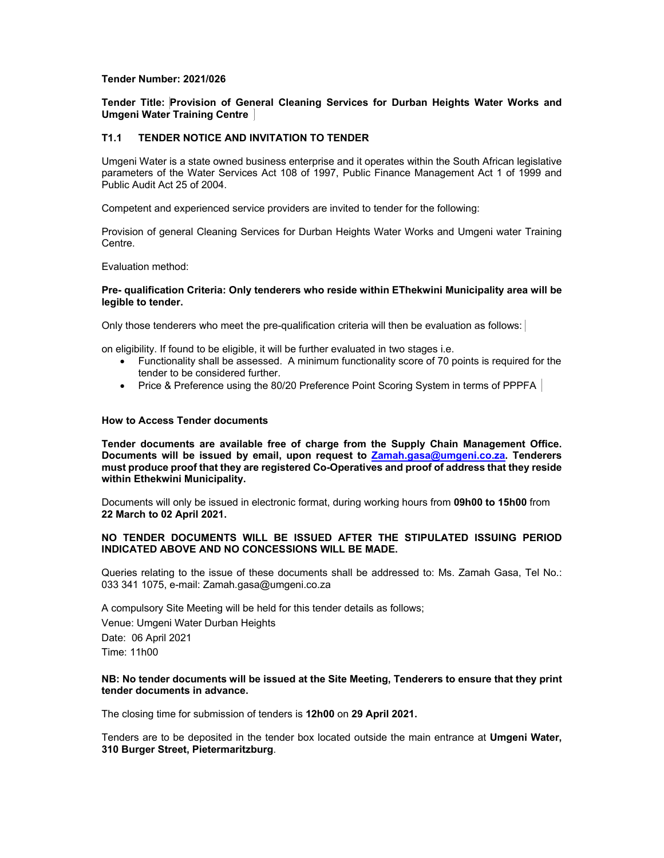### **Tender Number: 2021/026**

**Tender Title: Provision of General Cleaning Services for Durban Heights Water Works and Umgeni Water Training Centre** 

# **T1.1 TENDER NOTICE AND INVITATION TO TENDER**

Umgeni Water is a state owned business enterprise and it operates within the South African legislative parameters of the Water Services Act 108 of 1997, Public Finance Management Act 1 of 1999 and Public Audit Act 25 of 2004.

Competent and experienced service providers are invited to tender for the following:

Provision of general Cleaning Services for Durban Heights Water Works and Umgeni water Training Centre.

Evaluation method:

### **Pre- qualification Criteria: Only tenderers who reside within EThekwini Municipality area will be legible to tender.**

Only those tenderers who meet the pre-qualification criteria will then be evaluation as follows:

on eligibility. If found to be eligible, it will be further evaluated in two stages i.e.

- Functionality shall be assessed. A minimum functionality score of 70 points is required for the tender to be considered further.
- Price & Preference using the 80/20 Preference Point Scoring System in terms of PPPFA

#### **How to Access Tender documents**

**Tender documents are available free of charge from the Supply Chain Management Office. Documents will be issued by email, upon request to Zamah.gasa@umgeni.co.za. Tenderers must produce proof that they are registered Co-Operatives and proof of address that they reside within Ethekwini Municipality.** 

Documents will only be issued in electronic format, during working hours from **09h00 to 15h00** from **22 March to 02 April 2021.** 

# **NO TENDER DOCUMENTS WILL BE ISSUED AFTER THE STIPULATED ISSUING PERIOD INDICATED ABOVE AND NO CONCESSIONS WILL BE MADE.**

Queries relating to the issue of these documents shall be addressed to: Ms. Zamah Gasa, Tel No.: 033 341 1075, e-mail: Zamah.gasa@umgeni.co.za

A compulsory Site Meeting will be held for this tender details as follows; Venue: Umgeni Water Durban Heights Date: 06 April 2021 Time: 11h00

# **NB: No tender documents will be issued at the Site Meeting, Tenderers to ensure that they print tender documents in advance.**

The closing time for submission of tenders is **12h00** on **29 April 2021.** 

Tenders are to be deposited in the tender box located outside the main entrance at **Umgeni Water, 310 Burger Street, Pietermaritzburg**.